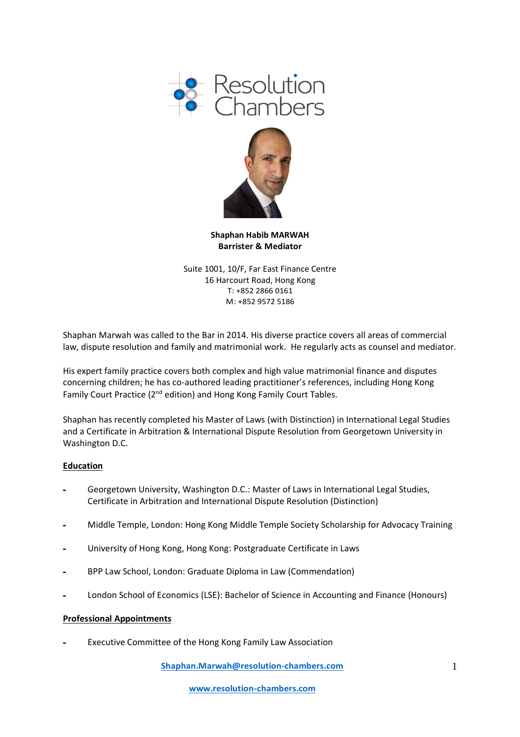



**Shaphan Habib MARWAH Barrister & Mediator**

Suite 1001, 10/F, Far East Finance Centre 16 Harcourt Road, Hong Kong T: +852 2866 0161 M: +852 9572 5186

Shaphan Marwah was called to the Bar in 2014. His diverse practice covers all areas of commercial law, dispute resolution and family and matrimonial work. He regularly acts as counsel and mediator.

His expert family practice covers both complex and high value matrimonial finance and disputes concerning children; he has co-authored leading practitioner's references, including Hong Kong Family Court Practice (2<sup>nd</sup> edition) and Hong Kong Family Court Tables.

Shaphan has recently completed his Master of Laws (with Distinction) in International Legal Studies and a Certificate in Arbitration & International Dispute Resolution from Georgetown University in Washington D.C.

# **Education**

- **-** Georgetown University, Washington D.C.: Master of Laws in International Legal Studies, Certificate in Arbitration and International Dispute Resolution (Distinction)
- **-** Middle Temple, London: Hong Kong Middle Temple Society Scholarship for Advocacy Training
- **-** University of Hong Kong, Hong Kong: Postgraduate Certificate in Laws
- **-** BPP Law School, London: Graduate Diploma in Law (Commendation)
- **-** London School of Economics (LSE): Bachelor of Science in Accounting and Finance (Honours)

#### **Professional Appointments**

**-** Executive Committee of the Hong Kong Family Law Association

**[Shaphan.Marwah@resolution-chambers.com](mailto:Shaphan.Marwah@resolution-chambers.com)**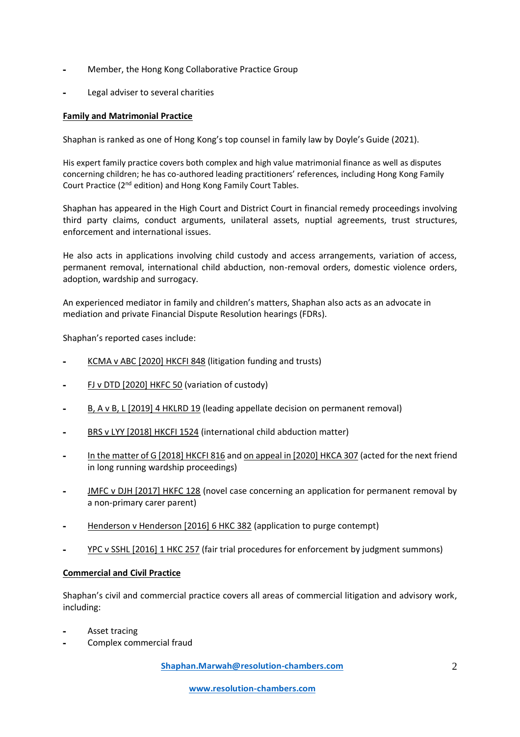- **-** Member, the Hong Kong Collaborative Practice Group
- **-** Legal adviser to several charities

### **Family and Matrimonial Practice**

Shaphan is ranked as one of Hong Kong's top counsel in family law by Doyle's Guide (2021).

His expert family practice covers both complex and high value matrimonial finance as well as disputes concerning children; he has co-authored leading practitioners' references, including Hong Kong Family Court Practice (2nd edition) and Hong Kong Family Court Tables.

Shaphan has appeared in the High Court and District Court in financial remedy proceedings involving third party claims, conduct arguments, unilateral assets, nuptial agreements, trust structures, enforcement and international issues.

He also acts in applications involving child custody and access arrangements, variation of access, permanent removal, international child abduction, non-removal orders, domestic violence orders, adoption, wardship and surrogacy.

An experienced mediator in family and children's matters, Shaphan also acts as an advocate in mediation and private Financial Dispute Resolution hearings (FDRs).

Shaphan's reported cases include:

- **-** KCMA v ABC [2020] HKCFI 848 (litigation funding and trusts)
- **-** FJ v DTD [2020] HKFC 50 (variation of custody)
- **-** B, A v B, L [2019] 4 HKLRD 19 (leading appellate decision on permanent removal)
- **-** BRS v LYY [2018] HKCFI 1524 (international child abduction matter)
- **-** In the matter of G [2018] HKCFI 816 and on appeal in [2020] HKCA 307 (acted for the next friend in long running wardship proceedings)
- **-** JMFC v DJH [2017] HKFC 128 (novel case concerning an application for permanent removal by a non-primary carer parent)
- **-** Henderson v Henderson [2016] 6 HKC 382 (application to purge contempt)
- **-** YPC v SSHL [2016] 1 HKC 257 (fair trial procedures for enforcement by judgment summons)

#### **Commercial and Civil Practice**

Shaphan's civil and commercial practice covers all areas of commercial litigation and advisory work, including:

- **-** Asset tracing
- **-** Complex commercial fraud